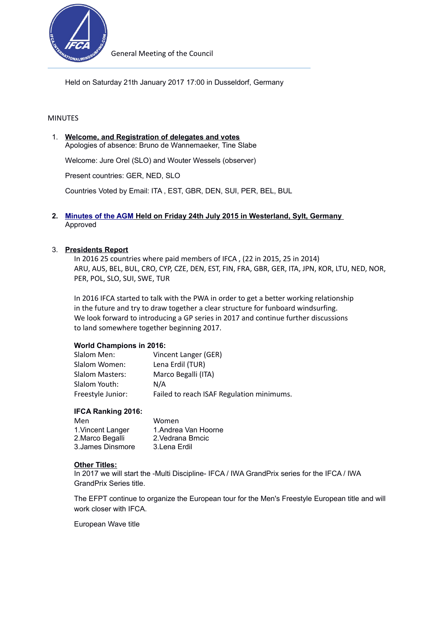

Held on Saturday 21th January 2017 17:00 in Dusseldorf, Germany

### MINUTES

1. **Welcome, and Registration of delegates and votes** Apologies of absence: Bruno de Wannemaeker, Tine Slabe

Welcome: Jure Orel (SLO) and Wouter Wessels (observer)

Present countries: GER, NED, SLO

Countries Voted by Email: ITA , EST, GBR, DEN, SUI, PER, BEL, BUL

### **2. [Minutes of the AGM](http://www.internationalwindsurfing.com/userfiles/documents/IFCA_Minutes_2014_AGM.pdf) Held on Friday 24th July 2015 in Westerland, Sylt, Germany**  Approved

#### 3. **Presidents Report**

In 2016 25 countries where paid members of IFCA , (22 in 2015, 25 in 2014) ARU, AUS, BEL, BUL, CRO, CYP, CZE, DEN, EST, FIN, FRA, GBR, GER, ITA, JPN, KOR, LTU, NED, NOR, PER, POL, SLO, SUI, SWE, TUR

In 2016 IFCA started to talk with the PWA in order to get a better working relationship in the future and try to draw together a clear structure for funboard windsurfing. We look forward to introducing a GP series in 2017 and continue further discussions to land somewhere together beginning 2017.

#### **World Champions in 2016:**

| Slalom Men:            | Vincent Langer (GER)                      |
|------------------------|-------------------------------------------|
| Slalom Women:          | Lena Erdil (TUR)                          |
| <b>Slalom Masters:</b> | Marco Begalli (ITA)                       |
| Slalom Youth:          | N/A                                       |
| Freestyle Junior:      | Failed to reach ISAF Regulation minimums. |

#### **IFCA Ranking 2016:**

| Men               | Women                |
|-------------------|----------------------|
| 1. Vincent Langer | 1. Andrea Van Hoorne |
| 2. Marco Begalli  | 2 Vedrana Brncic     |
| 3. James Dinsmore | 3. Lena Erdil        |

#### **Other Titles:**

In 2017 we will start the -Multi Discipline- IFCA / IWA GrandPrix series for the IFCA / IWA GrandPrix Series title.

The EFPT continue to organize the European tour for the Men's Freestyle European title and will work closer with IFCA.

European Wave title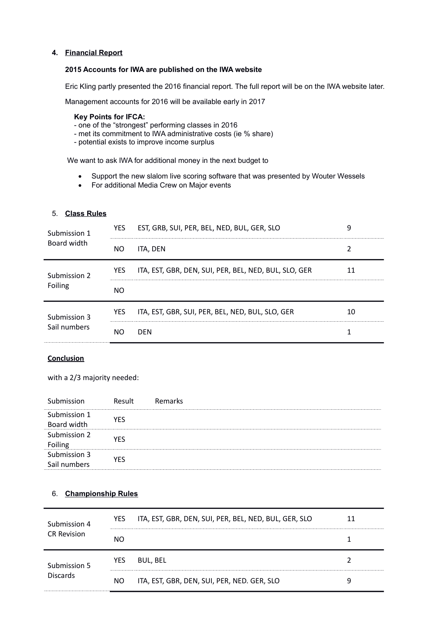## **4. Financial Report**

#### **2015 Accounts for IWA are published on the IWA website**

Eric Kling partly presented the 2016 financial report. The full report will be on the IWA website later.

Management accounts for 2016 will be available early in 2017

#### **Key Points for IFCA:**

- one of the "strongest" performing classes in 2016
- met its commitment to IWA administrative costs (ie % share)
- potential exists to improve income surplus

We want to ask IWA for additional money in the next budget to

- Support the new slalom live scoring software that was presented by Wouter Wessels
- For additional Media Crew on Major events

## 5. **Class Rules**

| Submission 1            | <b>YES</b> | EST, GRB, SUI, PER, BEL, NED, BUL, GER, SLO           |    |
|-------------------------|------------|-------------------------------------------------------|----|
| Board width             | NO         | ITA, DEN                                              |    |
| Submission 2            | <b>YES</b> | ITA, EST, GBR, DEN, SUI, PER, BEL, NED, BUL, SLO, GER |    |
| Foiling<br>Submission 3 | NΩ         |                                                       |    |
|                         | <b>YES</b> | ITA, EST, GBR, SUI, PER, BEL, NED, BUL, SLO, GER      | 10 |
| Sail numbers            |            | DFN                                                   |    |

#### **Conclusion**

with a 2/3 majority needed:

| Submission                   | Result | Remarks |
|------------------------------|--------|---------|
| Submission 1<br>Board width  | YFS    |         |
| Submission 2<br>Foiling      | YFS    |         |
| Submission 3<br>Sail numbers | YFS    |         |

## 6. **Championship Rules**

| Submission 4<br><b>CR Revision</b> | YES | ITA, EST, GBR, DEN, SUI, PER, BEL, NED, BUL, GER, SLO |  |
|------------------------------------|-----|-------------------------------------------------------|--|
|                                    | NΟ  |                                                       |  |
| Submission 5                       |     |                                                       |  |
|                                    | YES | BUL, BEL                                              |  |